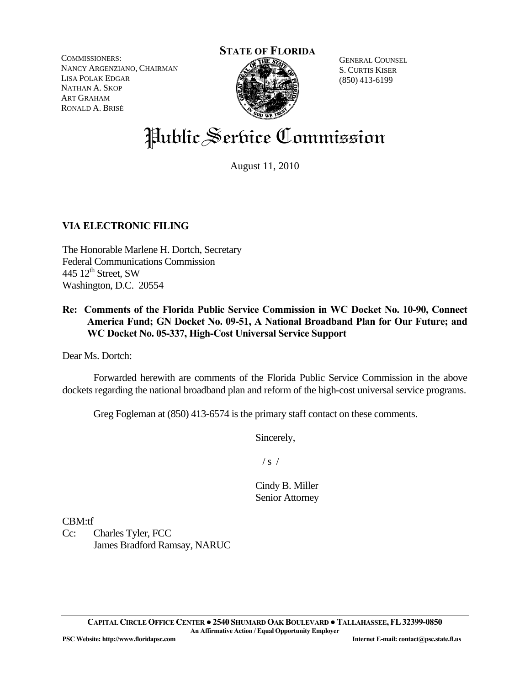COMMISSIONERS: NANCY ARGENZIANO, CHAIRMAN LISA POLAK EDGAR NATHAN A. SKOP ART GRAHAM RONALD A. BRISÉ

#### **STATE OF FLORIDA**



GENERAL COUNSEL S. CURTIS KISER (850) 413-6199

# Public Service Commission

August 11, 2010

# **VIA ELECTRONIC FILING**

The Honorable Marlene H. Dortch, Secretary Federal Communications Commission 445  $12^{\text{th}}$  Street, SW Washington, D.C. 20554

# **Re: Comments of the Florida Public Service Commission in WC Docket No. 10-90, Connect America Fund; GN Docket No. 09-51, A National Broadband Plan for Our Future; and WC Docket No. 05-337, High-Cost Universal Service Support**

Dear Ms. Dortch:

 Forwarded herewith are comments of the Florida Public Service Commission in the above dockets regarding the national broadband plan and reform of the high-cost universal service programs.

Greg Fogleman at (850) 413-6574 is the primary staff contact on these comments.

Sincerely,

 $/ s /$ 

Cindy B. Miller Senior Attorney

CBM:tf

Cc: Charles Tyler, FCC James Bradford Ramsay, NARUC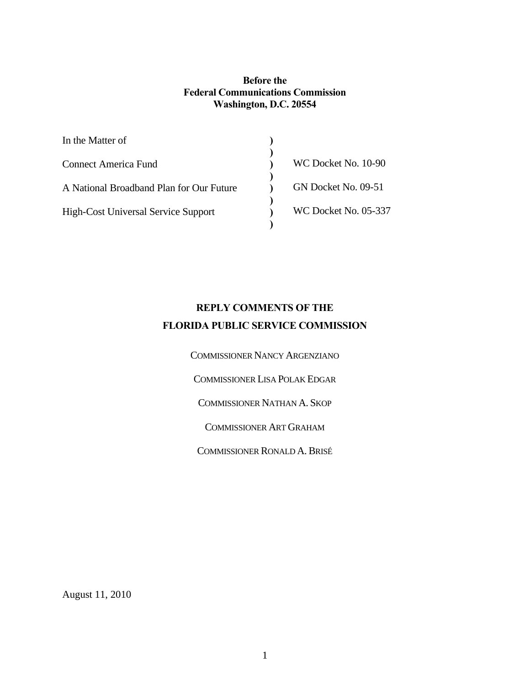### **Before the Federal Communications Commission Washington, D.C. 20554**

| In the Matter of                           |                      |
|--------------------------------------------|----------------------|
| <b>Connect America Fund</b>                | WC Docket No. 10-90  |
| A National Broadband Plan for Our Future   | GN Docket No. 09-51  |
| <b>High-Cost Universal Service Support</b> | WC Docket No. 05-337 |
|                                            |                      |

# **REPLY COMMENTS OF THE FLORIDA PUBLIC SERVICE COMMISSION**

COMMISSIONER NANCY ARGENZIANO COMMISSIONER LISA POLAK EDGAR COMMISSIONER NATHAN A. SKOP COMMISSIONER ART GRAHAM COMMISSIONER RONALD A.BRISÉ

August 11, 2010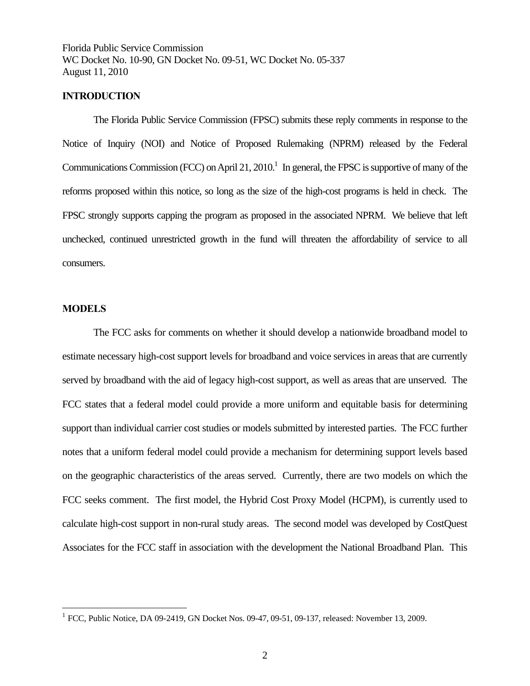#### **INTRODUCTION**

The Florida Public Service Commission (FPSC) submits these reply comments in response to the Notice of Inquiry (NOI) and Notice of Proposed Rulemaking (NPRM) released by the Federal Communications Commission (FCC) on April 21, 2010.<sup>1</sup> In general, the FPSC is supportive of many of the reforms proposed within this notice, so long as the size of the high-cost programs is held in check. The FPSC strongly supports capping the program as proposed in the associated NPRM. We believe that left unchecked, continued unrestricted growth in the fund will threaten the affordability of service to all consumers.

#### **MODELS**

 $\overline{a}$ 

 The FCC asks for comments on whether it should develop a nationwide broadband model to estimate necessary high-cost support levels for broadband and voice services in areas that are currently served by broadband with the aid of legacy high-cost support, as well as areas that are unserved. The FCC states that a federal model could provide a more uniform and equitable basis for determining support than individual carrier cost studies or models submitted by interested parties. The FCC further notes that a uniform federal model could provide a mechanism for determining support levels based on the geographic characteristics of the areas served. Currently, there are two models on which the FCC seeks comment. The first model, the Hybrid Cost Proxy Model (HCPM), is currently used to calculate high-cost support in non-rural study areas. The second model was developed by CostQuest Associates for the FCC staff in association with the development the National Broadband Plan. This

 $1$  FCC, Public Notice, DA 09-2419, GN Docket Nos. 09-47, 09-51, 09-137, released: November 13, 2009.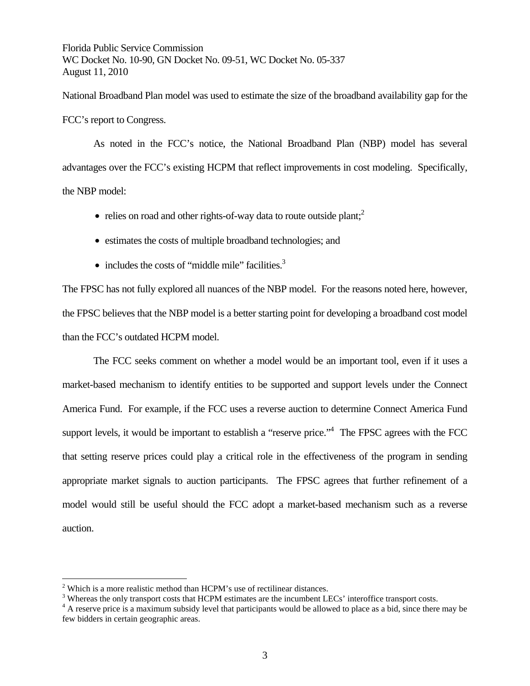National Broadband Plan model was used to estimate the size of the broadband availability gap for the FCC's report to Congress.

 As noted in the FCC's notice, the National Broadband Plan (NBP) model has several advantages over the FCC's existing HCPM that reflect improvements in cost modeling. Specifically, the NBP model:

- relies on road and other rights-of-way data to route outside plant;<sup>2</sup>
- estimates the costs of multiple broadband technologies; and
- includes the costs of "middle mile" facilities. $3$

The FPSC has not fully explored all nuances of the NBP model. For the reasons noted here, however, the FPSC believes that the NBP model is a better starting point for developing a broadband cost model than the FCC's outdated HCPM model.

 The FCC seeks comment on whether a model would be an important tool, even if it uses a market-based mechanism to identify entities to be supported and support levels under the Connect America Fund. For example, if the FCC uses a reverse auction to determine Connect America Fund support levels, it would be important to establish a "reserve price."<sup>4</sup> The FPSC agrees with the FCC that setting reserve prices could play a critical role in the effectiveness of the program in sending appropriate market signals to auction participants. The FPSC agrees that further refinement of a model would still be useful should the FCC adopt a market-based mechanism such as a reverse auction.

 $\overline{a}$ 

 $2$  Which is a more realistic method than HCPM's use of rectilinear distances.

<sup>&</sup>lt;sup>3</sup> Whereas the only transport costs that HCPM estimates are the incumbent LECs' interoffice transport costs.<br> $4 \text{ A}$  recente price is a maximum subsidy layel that perticipants would be allowed to place as a hid since th

<sup>&</sup>lt;sup>4</sup> A reserve price is a maximum subsidy level that participants would be allowed to place as a bid, since there may be few bidders in certain geographic areas.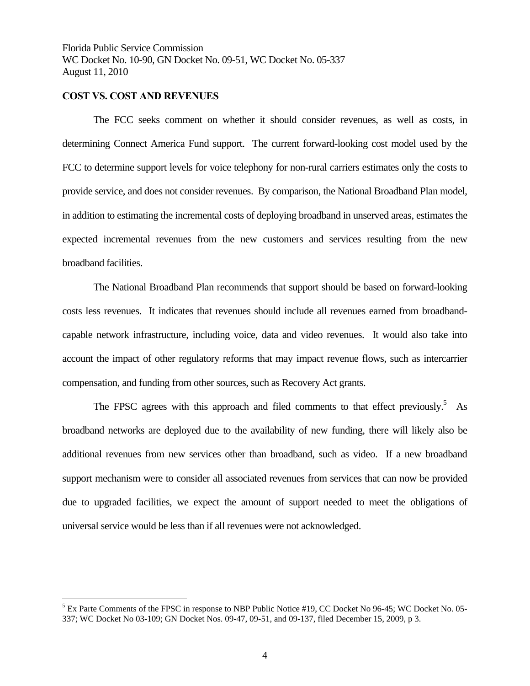#### **COST VS. COST AND REVENUES**

1

 The FCC seeks comment on whether it should consider revenues, as well as costs, in determining Connect America Fund support. The current forward-looking cost model used by the FCC to determine support levels for voice telephony for non-rural carriers estimates only the costs to provide service, and does not consider revenues. By comparison, the National Broadband Plan model, in addition to estimating the incremental costs of deploying broadband in unserved areas, estimates the expected incremental revenues from the new customers and services resulting from the new broadband facilities.

 The National Broadband Plan recommends that support should be based on forward-looking costs less revenues. It indicates that revenues should include all revenues earned from broadbandcapable network infrastructure, including voice, data and video revenues. It would also take into account the impact of other regulatory reforms that may impact revenue flows, such as intercarrier compensation, and funding from other sources, such as Recovery Act grants.

The FPSC agrees with this approach and filed comments to that effect previously.<sup>5</sup> As broadband networks are deployed due to the availability of new funding, there will likely also be additional revenues from new services other than broadband, such as video. If a new broadband support mechanism were to consider all associated revenues from services that can now be provided due to upgraded facilities, we expect the amount of support needed to meet the obligations of universal service would be less than if all revenues were not acknowledged.

<sup>&</sup>lt;sup>5</sup> Ex Parte Comments of the FPSC in response to NBP Public Notice #19, CC Docket No 96-45; WC Docket No. 05-337; WC Docket No 03-109; GN Docket Nos. 09-47, 09-51, and 09-137, filed December 15, 2009, p 3.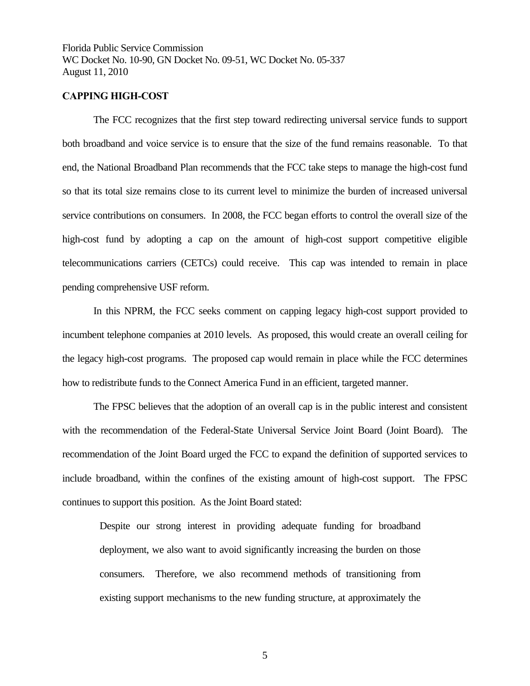#### **CAPPING HIGH-COST**

 The FCC recognizes that the first step toward redirecting universal service funds to support both broadband and voice service is to ensure that the size of the fund remains reasonable. To that end, the National Broadband Plan recommends that the FCC take steps to manage the high-cost fund so that its total size remains close to its current level to minimize the burden of increased universal service contributions on consumers. In 2008, the FCC began efforts to control the overall size of the high-cost fund by adopting a cap on the amount of high-cost support competitive eligible telecommunications carriers (CETCs) could receive. This cap was intended to remain in place pending comprehensive USF reform.

 In this NPRM, the FCC seeks comment on capping legacy high-cost support provided to incumbent telephone companies at 2010 levels. As proposed, this would create an overall ceiling for the legacy high-cost programs. The proposed cap would remain in place while the FCC determines how to redistribute funds to the Connect America Fund in an efficient, targeted manner.

The FPSC believes that the adoption of an overall cap is in the public interest and consistent with the recommendation of the Federal-State Universal Service Joint Board (Joint Board). The recommendation of the Joint Board urged the FCC to expand the definition of supported services to include broadband, within the confines of the existing amount of high-cost support. The FPSC continues to support this position. As the Joint Board stated:

Despite our strong interest in providing adequate funding for broadband deployment, we also want to avoid significantly increasing the burden on those consumers. Therefore, we also recommend methods of transitioning from existing support mechanisms to the new funding structure, at approximately the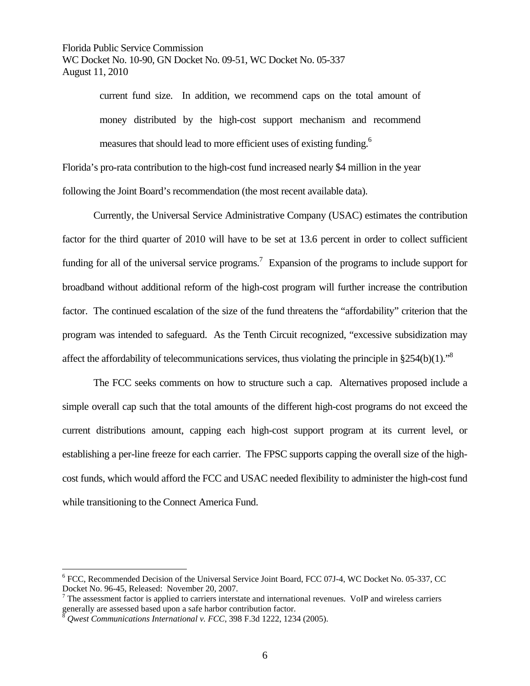> current fund size. In addition, we recommend caps on the total amount of money distributed by the high-cost support mechanism and recommend measures that should lead to more efficient uses of existing funding.<sup>6</sup>

Florida's pro-rata contribution to the high-cost fund increased nearly \$4 million in the year following the Joint Board's recommendation (the most recent available data).

 Currently, the Universal Service Administrative Company (USAC) estimates the contribution factor for the third quarter of 2010 will have to be set at 13.6 percent in order to collect sufficient funding for all of the universal service programs.<sup>7</sup> Expansion of the programs to include support for broadband without additional reform of the high-cost program will further increase the contribution factor. The continued escalation of the size of the fund threatens the "affordability" criterion that the program was intended to safeguard. As the Tenth Circuit recognized, "excessive subsidization may affect the affordability of telecommunications services, thus violating the principle in  $§254(b)(1).$ <sup>8</sup>

 The FCC seeks comments on how to structure such a cap. Alternatives proposed include a simple overall cap such that the total amounts of the different high-cost programs do not exceed the current distributions amount, capping each high-cost support program at its current level, or establishing a per-line freeze for each carrier. The FPSC supports capping the overall size of the highcost funds, which would afford the FCC and USAC needed flexibility to administer the high-cost fund while transitioning to the Connect America Fund.

1

<sup>&</sup>lt;sup>6</sup> FCC, Recommended Decision of the Universal Service Joint Board, FCC 07J-4, WC Docket No. 05-337, CC Docket No. 96-45, Released: November 20, 2007.

 $7$  The assessment factor is applied to carriers interstate and international revenues. VoIP and wireless carriers generally are assessed based upon a safe harbor contribution factor.

<sup>8</sup> *Qwest Communications International v. FCC*, 398 F.3d 1222, 1234 (2005).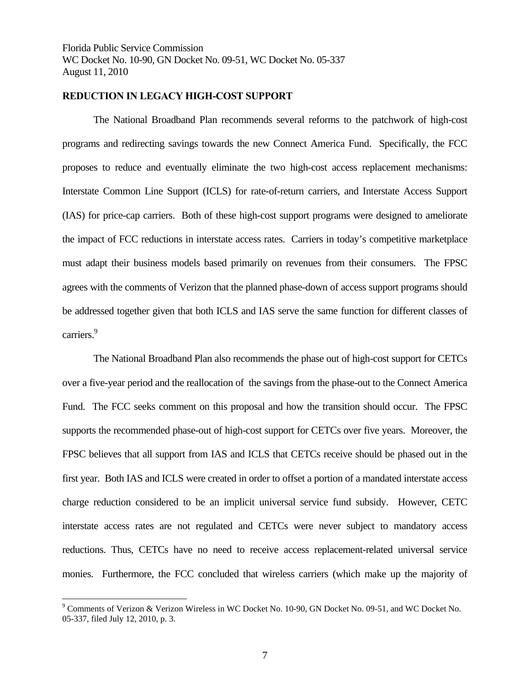## **REDUCTION IN LEGACY HIGH-COST SUPPORT**

 The National Broadband Plan recommends several reforms to the patchwork of high-cost programs and redirecting savings towards the new Connect America Fund. Specifically, the FCC proposes to reduce and eventually eliminate the two high-cost access replacement mechanisms: Interstate Common Line Support (ICLS) for rate-of-return carriers, and Interstate Access Support (IAS) for price-cap carriers. Both of these high-cost support programs were designed to ameliorate the impact of FCC reductions in interstate access rates. Carriers in today's competitive marketplace must adapt their business models based primarily on revenues from their consumers. The FPSC agrees with the comments of Verizon that the planned phase-down of access support programs should be addressed together given that both ICLS and IAS serve the same function for different classes of carriers.<sup>9</sup>

 The National Broadband Plan also recommends the phase out of high-cost support for CETCs over a five-year period and the reallocation of the savings from the phase-out to the Connect America Fund. The FCC seeks comment on this proposal and how the transition should occur. The FPSC supports the recommended phase-out of high-cost support for CETCs over five years. Moreover, the FPSC believes that all support from IAS and ICLS that CETCs receive should be phased out in the first year. Both IAS and ICLS were created in order to offset a portion of a mandated interstate access charge reduction considered to be an implicit universal service fund subsidy. However, CETC interstate access rates are not regulated and CETCs were never subject to mandatory access reductions. Thus, CETCs have no need to receive access replacement-related universal service monies. Furthermore, the FCC concluded that wireless carriers (which make up the majority of

 $\overline{a}$ 

<sup>&</sup>lt;sup>9</sup> Comments of Verizon & Verizon Wireless in WC Docket No. 10-90, GN Docket No. 09-51, and WC Docket No. 05-337, filed July 12, 2010, p. 3.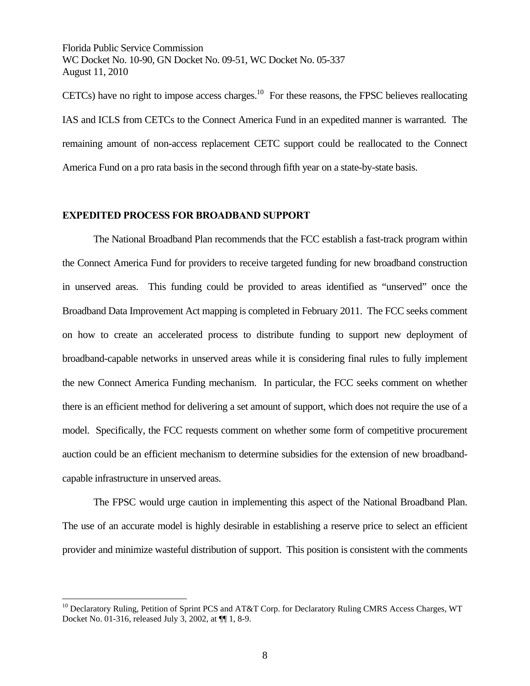CETCs) have no right to impose access charges.<sup>10</sup> For these reasons, the FPSC believes reallocating IAS and ICLS from CETCs to the Connect America Fund in an expedited manner is warranted. The remaining amount of non-access replacement CETC support could be reallocated to the Connect America Fund on a pro rata basis in the second through fifth year on a state-by-state basis.

#### **EXPEDITED PROCESS FOR BROADBAND SUPPORT**

1

 The National Broadband Plan recommends that the FCC establish a fast-track program within the Connect America Fund for providers to receive targeted funding for new broadband construction in unserved areas. This funding could be provided to areas identified as "unserved" once the Broadband Data Improvement Act mapping is completed in February 2011. The FCC seeks comment on how to create an accelerated process to distribute funding to support new deployment of broadband-capable networks in unserved areas while it is considering final rules to fully implement the new Connect America Funding mechanism. In particular, the FCC seeks comment on whether there is an efficient method for delivering a set amount of support, which does not require the use of a model. Specifically, the FCC requests comment on whether some form of competitive procurement auction could be an efficient mechanism to determine subsidies for the extension of new broadbandcapable infrastructure in unserved areas.

 The FPSC would urge caution in implementing this aspect of the National Broadband Plan. The use of an accurate model is highly desirable in establishing a reserve price to select an efficient provider and minimize wasteful distribution of support. This position is consistent with the comments

<sup>&</sup>lt;sup>10</sup> Declaratory Ruling, Petition of Sprint PCS and AT&T Corp. for Declaratory Ruling CMRS Access Charges, WT Docket No. 01-316, released July 3, 2002, at ¶¶ 1, 8-9.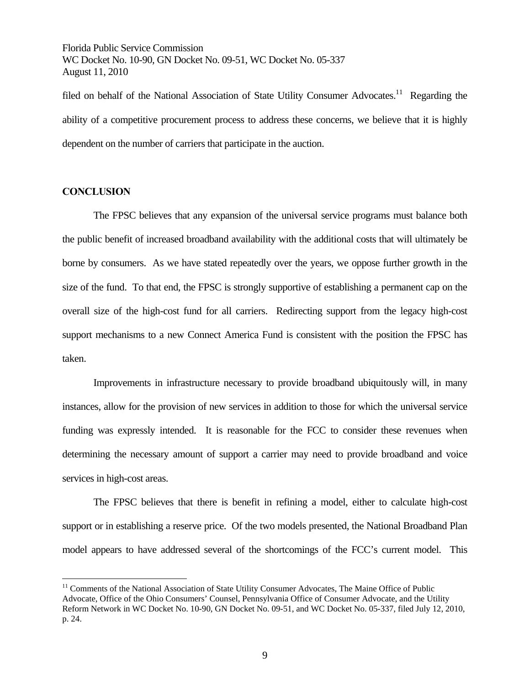filed on behalf of the National Association of State Utility Consumer Advocates.<sup>11</sup> Regarding the ability of a competitive procurement process to address these concerns, we believe that it is highly dependent on the number of carriers that participate in the auction.

#### **CONCLUSION**

 $\overline{a}$ 

 The FPSC believes that any expansion of the universal service programs must balance both the public benefit of increased broadband availability with the additional costs that will ultimately be borne by consumers. As we have stated repeatedly over the years, we oppose further growth in the size of the fund. To that end, the FPSC is strongly supportive of establishing a permanent cap on the overall size of the high-cost fund for all carriers. Redirecting support from the legacy high-cost support mechanisms to a new Connect America Fund is consistent with the position the FPSC has taken.

 Improvements in infrastructure necessary to provide broadband ubiquitously will, in many instances, allow for the provision of new services in addition to those for which the universal service funding was expressly intended. It is reasonable for the FCC to consider these revenues when determining the necessary amount of support a carrier may need to provide broadband and voice services in high-cost areas.

 The FPSC believes that there is benefit in refining a model, either to calculate high-cost support or in establishing a reserve price. Of the two models presented, the National Broadband Plan model appears to have addressed several of the shortcomings of the FCC's current model. This

 $11$  Comments of the National Association of State Utility Consumer Advocates, The Maine Office of Public Advocate, Office of the Ohio Consumers' Counsel, Pennsylvania Office of Consumer Advocate, and the Utility Reform Network in WC Docket No. 10-90, GN Docket No. 09-51, and WC Docket No. 05-337, filed July 12, 2010, p. 24.